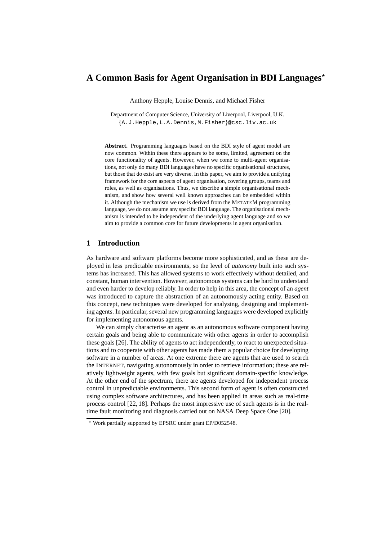# A Common Basis for Agent Organisation in BDI Languages<sup>\*</sup>

Anthony Hepple, Louise Dennis, and Michael Fisher

Department of Computer Science, University of Liverpool, Liverpool, U.K. {A.J.Hepple,L.A.Dennis,M.Fisher}@csc.liv.ac.uk

**Abstract.** Programming languages based on the BDI style of agent model are now common. Within these there appears to be some, limited, agreement on the core functionality of agents. However, when we come to multi-agent organisations, not only do many BDI languages have no specific organisational structures, but those that do exist are very diverse. In this paper, we aim to provide a unifying framework for the core aspects of agent organisation, covering groups, teams and roles, as well as organisations. Thus, we describe a simple organisational mechanism, and show how several well known approaches can be embedded within it. Although the mechanism we use is derived from the METATEM programming language, we do not assume any specific BDI language. The organisational mechanism is intended to be independent of the underlying agent language and so we aim to provide a common core for future developments in agent organisation.

# **1 Introduction**

As hardware and software platforms become more sophisticated, and as these are deployed in less predictable environments, so the level of *autonomy* built into such systems has increased. This has allowed systems to work effectively without detailed, and constant, human intervention. However, autonomous systems can be hard to understand and even harder to develop reliably. In order to help in this area, the concept of an *agent* was introduced to capture the abstraction of an autonomously acting entity. Based on this concept, new techniques were developed for analysing, designing and implementing agents. In particular, several new programming languages were developed explicitly for implementing autonomous agents.

We can simply characterise an agent as an autonomous software component having certain goals and being able to communicate with other agents in order to accomplish these goals [26]. The ability of agents to act independently, to react to unexpected situations and to cooperate with other agents has made them a popular choice for developing software in a number of areas. At one extreme there are agents that are used to search the INTERNET, navigating autonomously in order to retrieve information; these are relatively lightweight agents, with few goals but significant domain-specific knowledge. At the other end of the spectrum, there are agents developed for independent process control in unpredictable environments. This second form of agent is often constructed using complex software architectures, and has been applied in areas such as real-time process control [22, 18]. Perhaps the most impressive use of such agents is in the realtime fault monitoring and diagnosis carried out on NASA Deep Space One [20].

<sup>⋆</sup> Work partially supported by EPSRC under grant EP/D052548.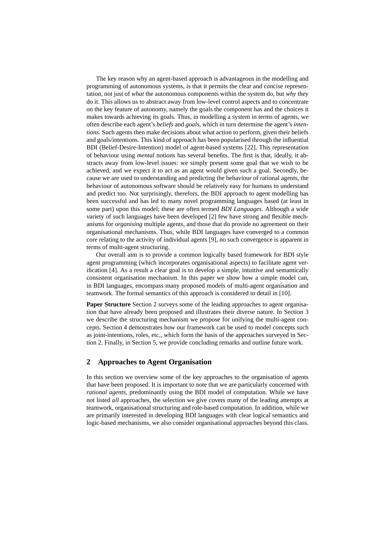The key reason why an agent-based approach is advantageous in the modelling and programming of autonomous systems, is that it permits the clear and concise representation, not just of *what* the autonomous components within the system do, but *why* they do it. This allows us to abstract away from low-level control aspects and to concentrate on the key feature of autonomy, namely the goals the component has and the choices it makes towards achieving its goals. Thus, in modelling a system in terms of agents, we often describe each agent's *beliefs* and *goals*, which in turn determine the agent's *intentions*. Such agents then make decisions about what action to perform, given their beliefs and goals/intentions. This kind of approach has been popularised through the influential BDI (Belief-Desire-Intention) model of agent-based systems [22]. This representation of behaviour using *mental* notions has several benefits. The first is that, ideally, it abstracts away from low-level issues: we simply present some goal that we wish to be achieved, and we expect it to act as an agent would given such a goal. Secondly, because we are used to understanding and predicting the behaviour of rational agents, the behaviour of autonomous software should be relatively easy for humans to understand and predict too. Not surprisingly, therefors, the BDI approach to agent modelling has been successful and has led to many novel programming languages based (at least in some part) upon this model; these are often termed *BDI Languages*. Although a wide variety of such languages have been developed [2] few have strong and flexible mechanisms for *organising* multiple agents, and those that do provide no agreement on their organisational mechanisms. Thus, while BDI languages have converged to a common core relating to the activity of individual agents [9], no such convergence is apparent in terms of multi-agent structuring.

Our overall aim is to provide a common logically based framework for BDI style agent programming (which incorporates organisational aspects) to facilitate agent verification [4]. As a result a clear goal is to develop a simple, intuitive and semantically consistent organisation mechanism. In this paper we show how a simple model can, in BDI languages, encompass many proposed models of multi-agent organisation and teamwork. The formal semantics of this approach is considered in detail in [10].

**Paper Structure** Section 2 surveys some of the leading approaches to agent organisation that have already been proposed and illustrates their diverse nature. In Section 3 we describe the structuring mechanism we propose for unifying the multi-agent concepts. Section 4 demonstrates how our framework can be used to model concepts such as joint-intentions, roles, etc., which form the basis of the approaches surveyed in Section 2. Finally, in Section 5, we provide concluding remarks and outline future work.

# **2 Approaches to Agent Organisation**

In this section we overview some of the key approaches to the organisation of agents that have been proposed. It is important to note that we are particularly concerned with *rational agents*, predominantly using the BDI model of computation. While we have not listed *all* approaches, the selection we give covers many of the leading attempts at teamwork, organisational structuring and role-based computation. In addition, while we are primarily interested in developing BDI languages with clear logical semantics and logic-based mechanisms, we also consider organisational approaches beyond this class.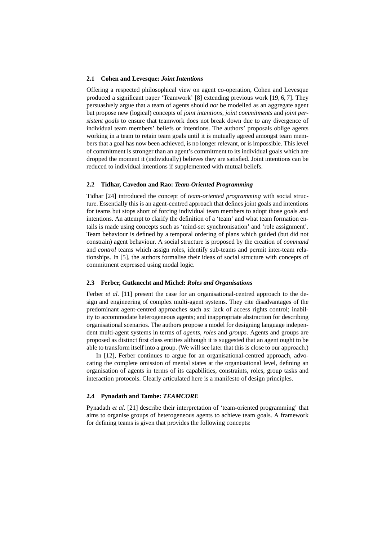#### **2.1 Cohen and Levesque:** *Joint Intentions*

Offering a respected philosophical view on agent co-operation, Cohen and Levesque produced a significant paper 'Teamwork' [8] extending previous work [19, 6, 7]. They persuasively argue that a team of agents should *not* be modelled as an aggregate agent but propose new (logical) concepts of *joint intentions*, *joint commitments* and *joint persistent goals* to ensure that teamwork does not break down due to any divergence of individual team members' beliefs or intentions. The authors' proposals oblige agents working in a team to retain team goals until it is mutually agreed amongst team members that a goal has now been achieved, is no longer relevant, or is impossible. This level of commitment is stronger than an agent's commitment to its individual goals which are dropped the moment it (individually) believes they are satisfied. Joint intentions can be reduced to individual intentions if supplemented with mutual beliefs.

#### **2.2 Tidhar, Cavedon and Rao:** *Team-Oriented Programming*

Tidhar [24] introduced the concept of *team-oriented programming* with social structure. Essentially this is an agent-centred approach that defines joint goals and intentions for teams but stops short of forcing individual team members to adopt those goals and intentions. An attempt to clarify the definition of a 'team' and what team formation entails is made using concepts such as 'mind-set synchronisation' and 'role assignment'. Team behaviour is defined by a temporal ordering of plans which guided (but did not constrain) agent behaviour. A social structure is proposed by the creation of *command* and *control* teams which assign roles, identify sub-teams and permit inter-team relationships. In [5], the authors formalise their ideas of social structure with concepts of commitment expressed using modal logic.

#### **2.3 Ferber, Gutknecht and Michel:** *Roles and Organisations*

Ferber *et al.* [11] present the case for an organisational-centred approach to the design and engineering of complex multi-agent systems. They cite disadvantages of the predominant agent-centred approaches such as: lack of access rights control; inability to accommodate heterogeneous agents; and inappropriate abstraction for describing organisational scenarios. The authors propose a model for designing language independent multi-agent systems in terms of *agents*, *roles* and *groups*. Agents and groups are proposed as distinct first class entities although it is suggested that an agent ought to be able to transform itself into a group. (We will see later that this is close to our approach.)

In [12], Ferber continues to argue for an organisational-centred approach, advocating the complete omission of mental states at the organisational level, defining an organisation of agents in terms of its capabilities, constraints, roles, group tasks and interaction protocols. Clearly articulated here is a manifesto of design principles.

### **2.4 Pynadath and Tambe:** *TEAMCORE*

Pynadath *et al.* [21] describe their interpretation of 'team-oriented programming' that aims to organise groups of heterogeneous agents to achieve team goals. A framework for defining teams is given that provides the following concepts: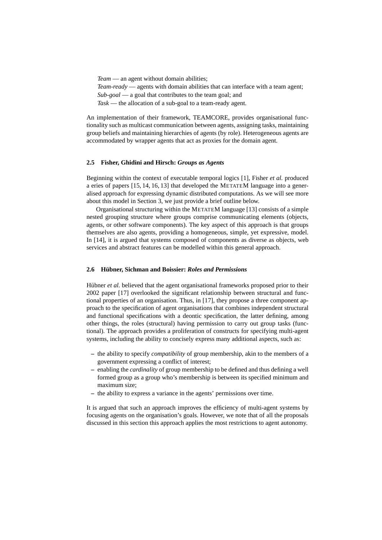*Team* — an agent without domain abilities; *Team-ready* — agents with domain abilities that can interface with a team agent; *Sub-goal* — a goal that contributes to the team goal; and *Task* — the allocation of a sub-goal to a team-ready agent.

An implementation of their framework, TEAMCORE, provides organisational functionality such as multicast communication between agents, assigning tasks, maintaining group beliefs and maintaining hierarchies of agents (by role). Heterogeneous agents are accommodated by wrapper agents that act as proxies for the domain agent.

#### **2.5 Fisher, Ghidini and Hirsch:** *Groups as Agents*

Beginning within the context of executable temporal logics [1], Fisher *et al.* produced a eries of papers [15, 14, 16, 13] that developed the METATEM language into a generalised approach for expressing dynamic distributed computations. As we will see more about this model in Section 3, we just provide a brief outline below.

Organisational structuring within the METATEM language [13] consists of a simple nested grouping structure where groups comprise communicating elements (objects, agents, or other software components). The key aspect of this approach is that groups themselves are also agents, providing a homogeneous, simple, yet expressive, model. In [14], it is argued that systems composed of components as diverse as objects, web services and abstract features can be modelled within this general approach.

#### **2.6 Hubner, Sichman and Boissier: ¨** *Roles and Permissions*

Hübner *et al.* believed that the agent organisational frameworks proposed prior to their 2002 paper [17] overlooked the significant relationship between structural and functional properties of an organisation. Thus, in [17], they propose a three component approach to the specification of agent organisations that combines independent structural and functional specifications with a deontic specification, the latter defining, among other things, the roles (structural) having permission to carry out group tasks (functional). The approach provides a proliferation of constructs for specifying multi-agent systems, including the ability to concisely express many additional aspects, such as:

- **–** the ability to specify *compatibility* of group membership, akin to the members of a government expressing a conflict of interest;
- **–** enabling the *cardinality* of group membership to be defined and thus defining a well formed group as a group who's membership is between its specified minimum and maximum size;
- **–** the ability to express a variance in the agents' permissions over time.

It is argued that such an approach improves the efficiency of multi-agent systems by focusing agents on the organisation's goals. However, we note that of all the proposals discussed in this section this approach applies the most restrictions to agent autonomy.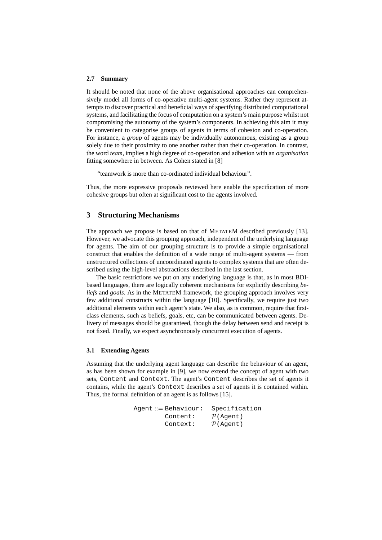#### **2.7 Summary**

It should be noted that none of the above organisational approaches can comprehensively model all forms of co-operative multi-agent systems. Rather they represent attempts to discover practical and beneficial ways of specifying distributed computational systems, and facilitating the focus of computation on a system's main purpose whilst not compromising the autonomy of the system's components. In achieving this aim it may be convenient to categorise groups of agents in terms of cohesion and co-operation. For instance, a *group* of agents may be individually autonomous, existing as a group solely due to their proximity to one another rather than their co-operation. In contrast, the word *team*, implies a high degree of co-operation and adhesion with an *organisation* fitting somewhere in between. As Cohen stated in [8]

"teamwork is more than co-ordinated individual behaviour".

Thus, the more expressive proposals reviewed here enable the specification of more cohesive groups but often at significant cost to the agents involved.

### **3 Structuring Mechanisms**

The approach we propose is based on that of METATEM described previously [13]. However, we advocate this grouping approach, independent of the underlying language for agents. The aim of our grouping structure is to provide a simple organisational construct that enables the definition of a wide range of multi-agent systems — from unstructured collections of uncoordinated agents to complex systems that are often described using the high-level abstractions described in the last section.

The basic restrictions we put on any underlying language is that, as in most BDIbased languages, there are logically coherent mechanisms for explicitly describing *beliefs* and *goals*. As in the METATEM framework, the grouping approach involves very few additional constructs within the language [10]. Specifically, we require just two additional elements within each agent's state. We also, as is common, require that firstclass elements, such as beliefs, goals, etc, can be communicated between agents. Delivery of messages should be guaranteed, though the delay between send and receipt is not fixed. Finally, we expect asynchronously concurrent execution of agents.

#### **3.1 Extending Agents**

Assuming that the underlying agent language can describe the behaviour of an agent, as has been shown for example in [9], we now extend the concept of agent with two sets, Content and Context. The agent's Content describes the set of agents it contains, while the agent's Context describes a set of agents it is contained within. Thus, the formal definition of an agent is as follows [15].

> Agent ::= Behaviour: Specification Content:  $P(Agent)$ Context:  $P(Agent)$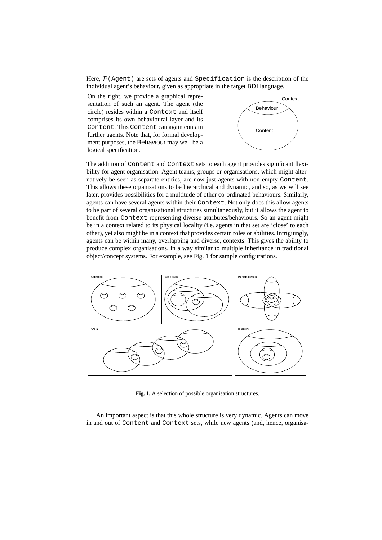Here,  $P(Agent)$  are sets of agents and Specification is the description of the individual agent's behaviour, given as appropriate in the target BDI language.

On the right, we provide a graphical representation of such an agent. The agent (the circle) resides within a Context and itself comprises its own behavioural layer and its Content. This Content can again contain further agents. Note that, for formal development purposes, the Behaviour may well be a logical specification.



The addition of Content and Context sets to each agent provides significant flexibility for agent organisation. Agent teams, groups or organisations, which might alternatively be seen as separate entities, are now just agents with non-empty Content. This allows these organisations to be hierarchical and dynamic, and so, as we will see later, provides possibilities for a multitude of other co-ordinated behaviours. Similarly, agents can have several agents within their Context. Not only does this allow agents to be part of several organisational structures simultaneously, but it allows the agent to benefit from Context representing diverse attributes/behaviours. So an agent might be in a context related to its physical locality (i.e. agents in that set are 'close' to each other), yet also might be in a context that provides certain roles or abilities. Intriguingly, agents can be within many, overlapping and diverse, contexts. This gives the ability to produce complex organisations, in a way similar to multiple inheritance in traditional object/concept systems. For example, see Fig. 1 for sample configurations.



**Fig. 1.** A selection of possible organisation structures.

An important aspect is that this whole structure is very dynamic. Agents can move in and out of Content and Context sets, while new agents (and, hence, organisa-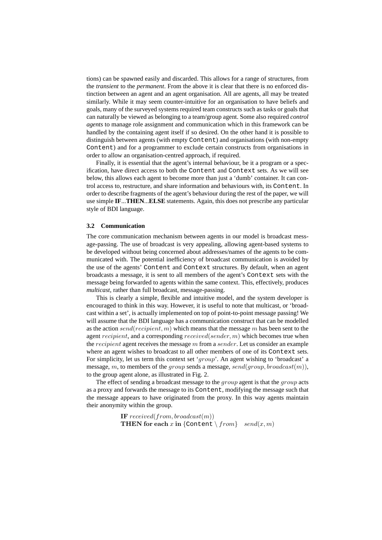tions) can be spawned easily and discarded. This allows for a range of structures, from the *transient* to the *permanent*. From the above it is clear that there is no enforced distinction between an agent and an agent organisation. All are agents, all may be treated similarly. While it may seem counter-intuitive for an organisation to have beliefs and goals, many of the surveyed systems required team constructs such as tasks or goals that can naturally be viewed as belonging to a team/group agent. Some also required *control agents* to manage role assignment and communication which in this framework can be handled by the containing agent itself if so desired. On the other hand it is possible to distinguish between agents (with empty Content) and organisations (with non-empty Content) and for a programmer to exclude certain constructs from organisations in order to allow an organisation-centred approach, if required.

Finally, it is essential that the agent's internal behaviour, be it a program or a specification, have direct access to both the Content and Context sets. As we will see below, this allows each agent to become more than just a 'dumb' container. It can control access to, restructure, and share information and behaviours with, its Content. In order to describe fragments of the agent's behaviour during the rest of the paper, we will use simple **IF**...**THEN**...**ELSE** statements. Again, this does not prescribe any particular style of BDI language.

#### **3.2 Communication**

The core communication mechanism between agents in our model is broadcast message-passing. The use of broadcast is very appealing, allowing agent-based systems to be developed without being concerned about addresses/names of the agents to be communicated with. The potential inefficiency of broadcast communication is avoided by the use of the agents' Content and Context structures. By default, when an agent broadcasts a message, it is sent to all members of the agent's Context sets with the message being forwarded to agents within the same context. This, effectively, produces *multicast*, rather than full broadcast, message-passing.

This is clearly a simple, flexible and intuitive model, and the system developer is encouraged to think in this way. However, it is useful to note that multicast, or 'broadcast within a set', is actually implemented on top of point-to-point message passing! We will assume that the BDI language has a communication construct that can be modelled as the action  $send(recient, m)$  which means that the message m has been sent to the agent *recipient*, and a corresponding *received*(*sender, m*) which becomes true when the recipient agent receives the message  $m$  from a sender. Let us consider an example where an agent wishes to broadcast to all other members of one of its Context sets. For simplicity, let us term this context set 'group'. An agent wishing to 'broadcast' a message, m, to members of the *group* sends a message,  $send(qroup, broadcast(m)),$ to the group agent alone, as illustrated in Fig. 2.

The effect of sending a broadcast message to the group agent is that the group acts as a proxy and forwards the message to its Content, modifying the message such that the message appears to have originated from the proxy. In this way agents maintain their anonymity within the group.

> IF  $received(from, broadcast(m))$ **THEN** for each x in {Content \  $from$ }  $send(x, m)$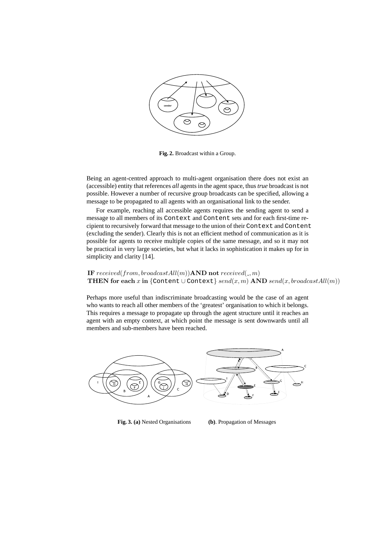

**Fig. 2.** Broadcast within a Group.

Being an agent-centred approach to multi-agent organisation there does not exist an (accessible) entity that references *all* agents in the agent space, thus *true* broadcast is not possible. However a number of recursive group broadcasts can be specified, allowing a message to be propagated to all agents with an organisational link to the sender.

For example, reaching all accessible agents requires the sending agent to send a message to all members of its Context and Content sets and for each first-time recipient to recursively forward that message to the union of their Context and Content (excluding the sender). Clearly this is not an efficient method of communication as it is possible for agents to receive multiple copies of the same message, and so it may not be practical in very large societies, but what it lacks in sophistication it makes up for in simplicity and clarity [14].

### IF received(from, broadcastAll(m)) $AND$  not received(,m) THEN for each x in {Content ∪ Context}  $send(x, m)$  AND  $send(x, broadcastAll(m))$

Perhaps more useful than indiscriminate broadcasting would be the case of an agent who wants to reach all other members of the 'greatest' organisation to which it belongs. This requires a message to propagate up through the agent structure until it reaches an agent with an empty context, at which point the message is sent downwards until all members and sub-members have been reached.



**Fig. 3. (a)** Nested Organisations **(b)**. Propagation of Messages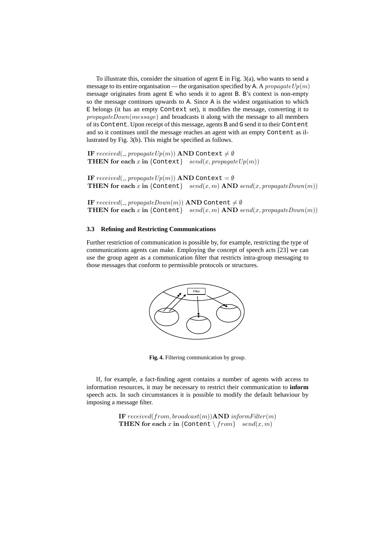To illustrate this, consider the situation of agent  $E$  in Fig. 3(a), who wants to send a message to its entire organisation — the organisation specified by A. A *propagate*  $Up(m)$ message originates from agent E who sends it to agent B. B's context is non-empty so the message continues upwards to A. Since A is the widest organisation to which E belongs (it has an empty Context set), it modifies the message, converting it to propagateDown(message) and broadcasts it along with the message to all members of its Content. Upon receipt of this message, agents B and G send it to their Content and so it continues until the message reaches an agent with an empty Content as illustrated by Fig. 3(b). This might be specified as follows.

IF received(, propagate  $Up(m)$ ) AND Context  $\neq \emptyset$ **THEN** for each x in {Context}  $send(x, propagateUp(m))$ 

IF  $received($ , propagate  $Up(m))$  AND Context =  $\emptyset$ **THEN** for each x in {Content}  $send(x, m)$  AND  $send(x, propagateDown(m))$ 

IF  $received($ ,  $propagateDown(m))$  AND Content  $\neq \emptyset$ **THEN** for each x in {Content} send(x, m) AND send(x, propagateDown(m))

### **3.3 Refining and Restricting Communications**

Further restriction of communication is possible by, for example, restricting the type of communications agents can make. Employing the concept of speech acts [23] we can use the group agent as a communication filter that restricts intra-group messaging to those messages that conform to permissible protocols or structures.



**Fig. 4.** Filtering communication by group.

If, for example, a fact-finding agent contains a number of agents with access to information resources, it may be necessary to restrict their communication to **inform** speech acts. In such circumstances it is possible to modify the default behaviour by imposing a message filter.

> IF  $received(from, broadcast(m))$ AND  $informFilter(m)$ THEN for each x in {Content \  $from$ }  $send(x, m)$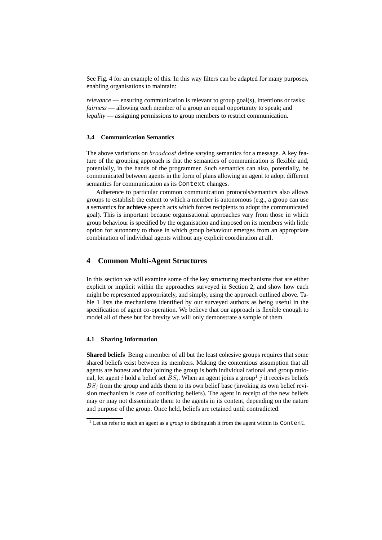See Fig. 4 for an example of this. In this way filters can be adapted for many purposes, enabling organisations to maintain:

*relevance* — ensuring communication is relevant to group goal(s), intentions or tasks; *fairness* — allowing each member of a group an equal opportunity to speak; and *legality* — assigning permissions to group members to restrict communication.

### **3.4 Communication Semantics**

The above variations on *broadcast* define varying semantics for a message. A key feature of the grouping approach is that the semantics of communication is flexible and, potentially, in the hands of the programmer. Such semantics can also, potentially, be communicated between agents in the form of plans allowing an agent to adopt different semantics for communication as its Context changes.

Adherence to particular common communication protocols/semantics also allows groups to establish the extent to which a member is autonomous (e.g., a group can use a semantics for **achieve** speech acts which forces recipients to adopt the communicated goal). This is important because organisational approaches vary from those in which group behaviour is specified by the organisation and imposed on its members with little option for autonomy to those in which group behaviour emerges from an appropriate combination of individual agents without any explicit coordination at all.

### **4 Common Multi-Agent Structures**

In this section we will examine some of the key structuring mechanisms that are either explicit or implicit within the approaches surveyed in Section 2, and show how each might be represented appropriately, and simply, using the approach outlined above. Table 1 lists the mechanisms identified by our surveyed authors as being useful in the specification of agent co-operation. We believe that our approach is flexible enough to model all of these but for brevity we will only demonstrate a sample of them.

#### **4.1 Sharing Information**

**Shared beliefs** Being a member of all but the least cohesive groups requires that some shared beliefs exist between its members. Making the contentious assumption that all agents are honest and that joining the group is both individual rational and group rational, let agent i hold a belief set  $BS_i$ . When an agent joins a group<sup>1</sup> j it receives beliefs  $BS_i$  from the group and adds them to its own belief base (invoking its own belief revision mechanism is case of conflicting beliefs). The agent in receipt of the new beliefs may or may not disseminate them to the agents in its content, depending on the nature and purpose of the group. Once held, beliefs are retained until contradicted.

<sup>&</sup>lt;sup>1</sup> Let us refer to such an agent as a *group* to distinguish it from the agent within its Content.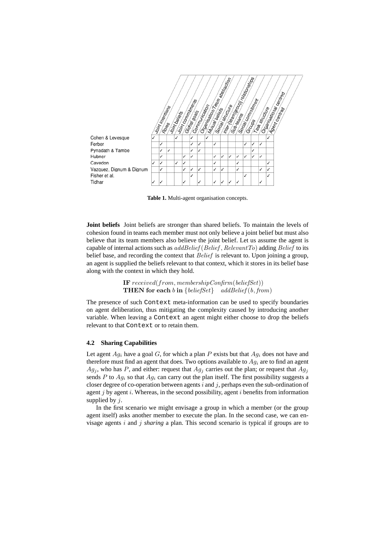

**Table 1.** Multi-agent organisation concepts.

**Joint beliefs** Joint beliefs are stronger than shared beliefs. To maintain the levels of cohesion found in teams each member must not only believe a joint belief but must also believe that its team members also believe the joint belief. Let us assume the agent is capable of internal actions such as  $addBelief (Belief, RelevantTo)$  adding  $Belief$  to its belief base, and recording the context that *Belief* is relevant to. Upon joining a group, an agent is supplied the beliefs relevant to that context, which it stores in its belief base along with the context in which they hold.

> IF  $received(from, membershipConfirm(beliefSet))$ **THEN** for each b in  ${beliefSet}$  addBelief (b, from)

The presence of such Context meta-information can be used to specify boundaries on agent deliberation, thus mitigating the complexity caused by introducing another variable. When leaving a Context an agent might either choose to drop the beliefs relevant to that Context or to retain them.

### **4.2 Sharing Capabilities**

Let agent  $Ag_i$  have a goal G, for which a plan P exists but that  $Ag_i$  does not have and therefore must find an agent that does. Two options available to  $Ag<sub>i</sub>$  are to find an agent  $Ag_j$ , who has P, and either: request that  $Ag_j$  carries out the plan; or request that  $Ag_j$ sends P to  $Ag_i$  so that  $Ag_i$  can carry out the plan itself. The first possibility suggests a closer degree of co-operation between agents i and j, perhaps even the sub-ordination of agent j by agent i. Whereas, in the second possibility, agent i benefits from information supplied by  $i$ .

In the first scenario we might envisage a group in which a member (or the group agent itself) asks another member to execute the plan. In the second case, we can envisage agents i and j *sharing* a plan. This second scenario is typical if groups are to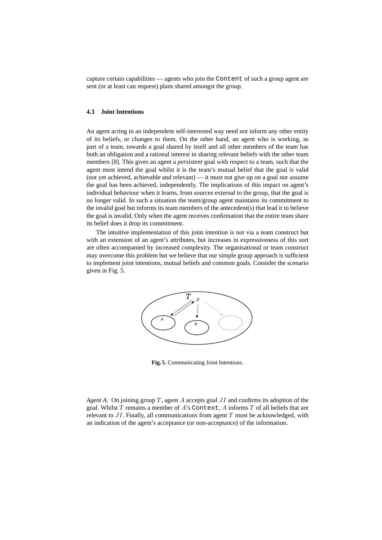capture certain capabilities — agents who join the Content of such a group agent are sent (or at least can request) plans shared amongst the group.

### **4.3 Joint Intentions**

An agent acting in an independent self-interested way need not inform any other entity of its beliefs, or changes to them. On the other hand, an agent who is working, as part of a team, towards a goal shared by itself and all other members of the team has both an obligation and a rational interest in sharing relevant beliefs with the other team members [8]. This gives an agent a *persistent* goal with respect to a team, such that the agent must intend the goal whilst it is the team's mutual belief that the goal is valid (not yet achieved, achievable and relevant) — it must not give up on a goal nor assume the goal has been achieved, independently. The implications of this impact on agent's individual behaviour when it learns, from sources external to the group, that the goal is no longer valid. In such a situation the team/group agent maintains its commitment to the invalid goal but informs its team members of the antecedent(s) that lead it to believe the goal is invalid. Only when the agent receives confirmation that the entire team share its belief does it drop its commitment.

The intuitive implementation of this joint intention is not via a team construct but with an extension of an agent's attributes, but increases in expressiveness of this sort are often accompanied by increased complexity. The organisational or team construct may overcome this problem but we believe that our simple group approach is sufficient to implement joint intentions, mutual beliefs and common goals. Consider the scenario given in Fig. 5.



**Fig. 5.** Communicating Joint Intentions.

*Agent A.* On joining group  $T$ , agent A accepts goal  $JI$  and confirms its adoption of the goal. Whilst  $T$  remains a member of  $A$ 's Context,  $A$  informs  $T$  of all beliefs that are relevant to  $JI$ . Finally, all communications from agent  $T$  must be acknowledged, with an indication of the agent's acceptance (or non-acceptance) of the information.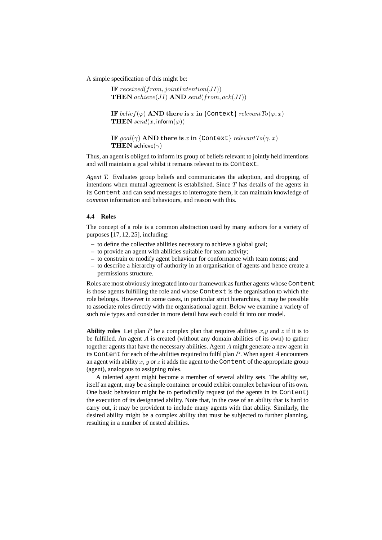A simple specification of this might be:

```
IF received(from, jointIntention(JI))
THEN achieve(JI) AND send(from, ack(JI))
```
IF belief( $\varphi$ ) AND there is x in {Context} relevant  $To(\varphi, x)$ THEN  $send(x, \text{inform}(\varphi))$ 

IF  $qoal(\gamma)$  AND there is x in {Context} relevant  $To(\gamma, x)$ **THEN** achieve( $\gamma$ )

Thus, an agent is obliged to inform its group of beliefs relevant to jointly held intentions and will maintain a goal whilst it remains relevant to its Context.

*Agent T.* Evaluates group beliefs and communicates the adoption, and dropping, of intentions when mutual agreement is established. Since  $T$  has details of the agents in its Content and can send messages to interrogate them, it can maintain knowledge of *common* information and behaviours, and reason with this.

#### **4.4 Roles**

The concept of a role is a common abstraction used by many authors for a variety of purposes [17, 12, 25], including:

- **–** to define the collective abilities necessary to achieve a global goal;
- **–** to provide an agent with abilities suitable for team activity;
- **–** to constrain or modify agent behaviour for conformance with team norms; and
- **–** to describe a hierarchy of authority in an organisation of agents and hence create a permissions structure.

Roles are most obviously integrated into our framework as further agents whose Content is those agents fulfilling the role and whose Context is the organisation to which the role belongs. However in some cases, in particular strict hierarchies, it may be possible to associate roles directly with the organisational agent. Below we examine a variety of such role types and consider in more detail how each could fit into our model.

**Ability roles** Let plan P be a complex plan that requires abilities  $x, y$  and z if it is to be fulfilled. An agent A is created (without any domain abilities of its own) to gather together agents that have the necessary abilities. Agent A might generate a new agent in its Content for each of the abilities required to fulfil plan  $P$ . When agent  $A$  encounters an agent with ability  $x, y$  or z it adds the agent to the Content of the appropriate group (agent), analogous to assigning roles.

A talented agent might become a member of several ability sets. The ability set, itself an agent, may be a simple container or could exhibit complex behaviour of its own. One basic behaviour might be to periodically request (of the agents in its Content) the execution of its designated ability. Note that, in the case of an ability that is hard to carry out, it may be provident to include many agents with that ability. Similarly, the desired ability might be a complex ability that must be subjected to further planning, resulting in a number of nested abilities.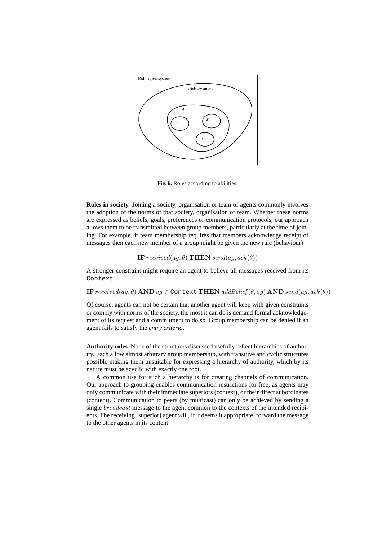

**Fig. 6.** Roles according to abilities.

**Roles in society** Joining a society, organisation or team of agents commonly involves the adoption of the norms of that society, organisation or team. Whether these norms are expressed as beliefs, goals, preferences or communication protocols, our approach allows them to be transmitted between group members, particularly at the time of joining. For example, if team membership requires that members acknowledge receipt of messages then each new member of a group might be given the new rule (behaviour)

### IF  $received(aq, \theta)$  THEN  $send(aq, \allowbreak ack(\theta))$

A stronger constraint might require an agent to believe all messages received from its Context:

IF  $received(aq, \theta)$  AND  $aq \in \text{Context}$  THEN  $addBelief(\theta, aq)$  AND  $send(aq, ack(\theta))$ 

Of course, agents can not be certain that another agent will keep with given constraints or comply with norms of the society, the most it can do is demand formal acknowledgement of its request and a commitment to do so. Group membership can be denied if an agent fails to satisfy the *entry criteria*.

**Authority roles** None of the structures discussed usefully reflect hierarchies of authority. Each allow almost arbitrary group membership, with transitive and cyclic structures possible making them unsuitable for expressing a hierarchy of authority, which by its nature must be acyclic with exactly one root.

A common use for such a hierarchy is for creating channels of communication. Our approach to grouping enables communication restrictions for free, as agents may only communicate with their immediate superiors (context), or their direct subordinates (content). Communication to peers (by multicast) can only be achieved by sending a single broadcast message to the agent common to the contexts of the intended recipients. The receiving [superior] agent will, if it deems it appropriate, forward the message to the other agents in its content.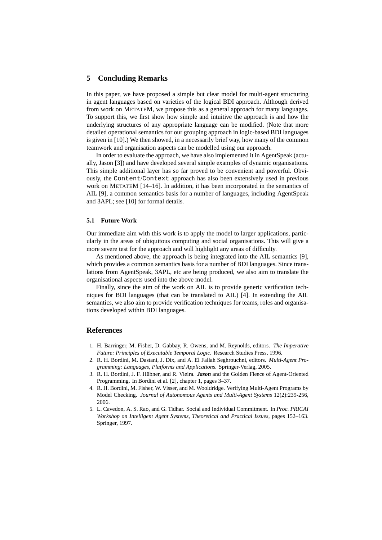### **5 Concluding Remarks**

In this paper, we have proposed a simple but clear model for multi-agent structuring in agent languages based on varieties of the logical BDI approach. Although derived from work on METATEM, we propose this as a general approach for many languages. To support this, we first show how simple and intuitive the approach is and how the underlying structures of any appropriate language can be modified. (Note that more detailed operational semantics for our grouping approach in logic-based BDI languages is given in [10].) We then showed, in a necessarily brief way, how many of the common teamwork and organisation aspects can be modelled using our approach.

In order to evaluate the approach, we have also implemented it in AgentSpeak (actually, Jason [3]) and have developed several simple examples of dynamic organisations. This simple additional layer has so far proved to be convenient and powerful. Obviously, the Content/Context approach has also been extensively used in previous work on METATEM [14–16]. In addition, it has been incorporated in the semantics of AIL [9], a common semantics basis for a number of languages, including AgentSpeak and 3APL; see [10] for formal details.

### **5.1 Future Work**

Our immediate aim with this work is to apply the model to larger applications, particularly in the areas of ubiquitous computing and social organisations. This will give a more severe test for the approach and will highlight any areas of difficulty.

As mentioned above, the approach is being integrated into the AIL semantics [9], which provides a common semantics basis for a number of BDI languages. Since translations from AgentSpeak, 3APL, etc are being produced, we also aim to translate the organisational aspects used into the above model.

Finally, since the aim of the work on AIL is to provide generic verification techniques for BDI languages (that can be translated to AIL) [4]. In extending the AIL semantics, we also aim to provide verification techniques for teams, roles and organisations developed within BDI languages.

### **References**

- 1. H. Barringer, M. Fisher, D. Gabbay, R. Owens, and M. Reynolds, editors. *The Imperative Future: Principles of Executable Temporal Logic*. Research Studies Press, 1996.
- 2. R. H. Bordini, M. Dastani, J. Dix, and A. El Fallah Seghrouchni, editors. *Multi-Agent Programming: Languages, Platforms and Applications*. Springer-Verlag, 2005.
- 3. R. H. Bordini, J. F. Hübner, and R. Vieira. *Jason* and the Golden Fleece of Agent-Oriented Programming. In Bordini et al. [2], chapter 1, pages 3–37.
- 4. R. H. Bordini, M. Fisher, W. Visser, and M. Wooldridge. Verifying Multi-Agent Programs by Model Checking. *Journal of Autonomous Agents and Multi-Agent Systems* 12(2):239-256, 2006.
- 5. L. Cavedon, A. S. Rao, and G. Tidhar. Social and Individual Commitment. In *Proc. PRICAI Workshop on Intelligent Agent Systems, Theoretical and Practical Issues*, pages 152–163. Springer, 1997.